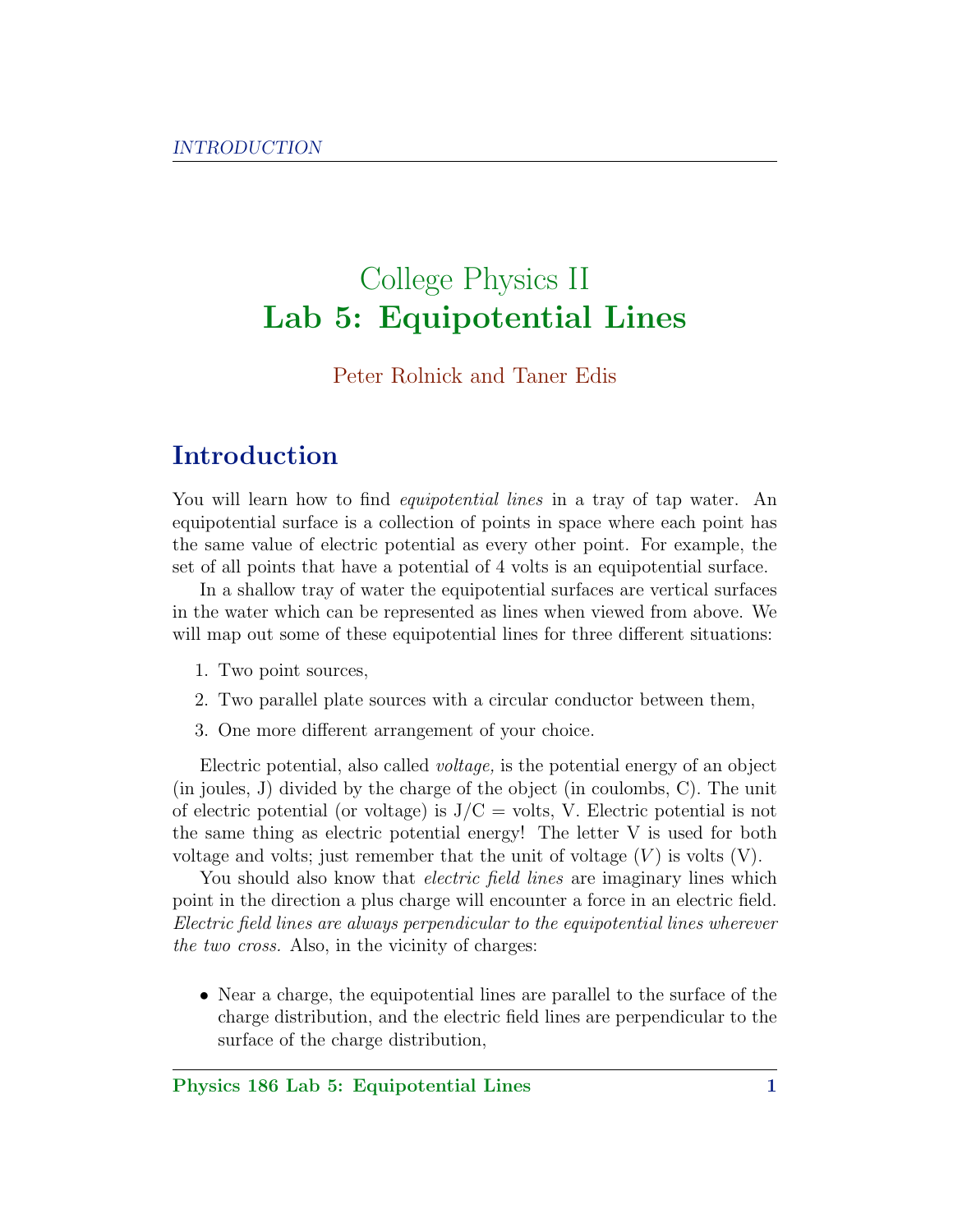# College Physics II Lab 5: Equipotential Lines

#### Peter Rolnick and Taner Edis

#### Introduction

You will learn how to find *equipotential lines* in a tray of tap water. An equipotential surface is a collection of points in space where each point has the same value of electric potential as every other point. For example, the set of all points that have a potential of 4 volts is an equipotential surface.

In a shallow tray of water the equipotential surfaces are vertical surfaces in the water which can be represented as lines when viewed from above. We will map out some of these equipotential lines for three different situations:

- 1. Two point sources,
- 2. Two parallel plate sources with a circular conductor between them,
- 3. One more different arrangement of your choice.

Electric potential, also called voltage, is the potential energy of an object (in joules, J) divided by the charge of the object (in coulombs, C). The unit of electric potential (or voltage) is  $J/C =$  volts, V. Electric potential is not the same thing as electric potential energy! The letter V is used for both voltage and volts; just remember that the unit of voltage  $(V)$  is volts  $(V)$ .

You should also know that *electric field lines* are imaginary lines which point in the direction a plus charge will encounter a force in an electric field. Electric field lines are always perpendicular to the equipotential lines wherever the two cross. Also, in the vicinity of charges:

• Near a charge, the equipotential lines are parallel to the surface of the charge distribution, and the electric field lines are perpendicular to the surface of the charge distribution,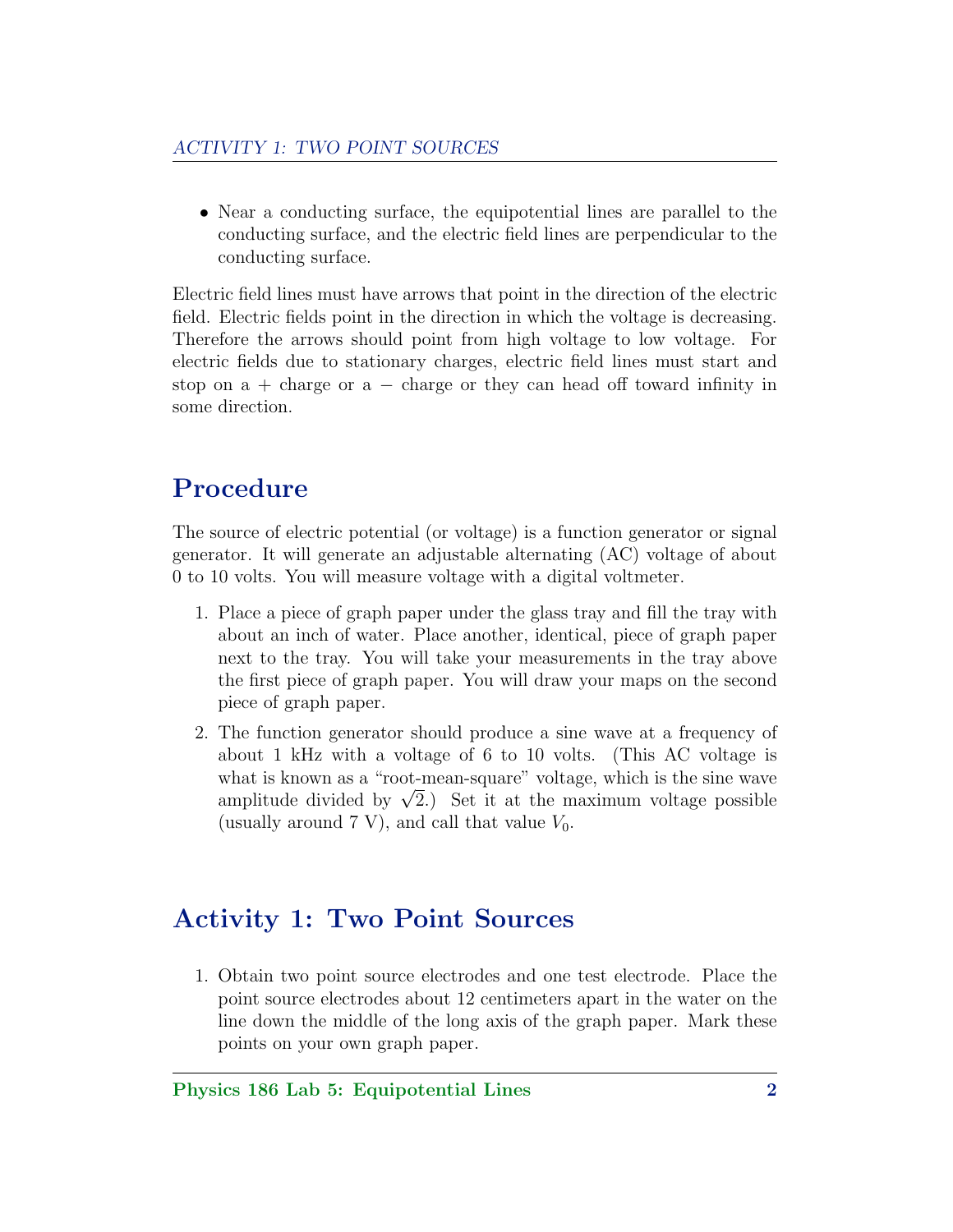• Near a conducting surface, the equipotential lines are parallel to the conducting surface, and the electric field lines are perpendicular to the conducting surface.

Electric field lines must have arrows that point in the direction of the electric field. Electric fields point in the direction in which the voltage is decreasing. Therefore the arrows should point from high voltage to low voltage. For electric fields due to stationary charges, electric field lines must start and stop on  $a +$  charge or  $a -$  charge or they can head off toward infinity in some direction.

### Procedure

The source of electric potential (or voltage) is a function generator or signal generator. It will generate an adjustable alternating (AC) voltage of about 0 to 10 volts. You will measure voltage with a digital voltmeter.

- 1. Place a piece of graph paper under the glass tray and fill the tray with about an inch of water. Place another, identical, piece of graph paper next to the tray. You will take your measurements in the tray above the first piece of graph paper. You will draw your maps on the second piece of graph paper.
- 2. The function generator should produce a sine wave at a frequency of about 1 kHz with a voltage of 6 to 10 volts. (This AC voltage is what is known as a "root-mean-square" voltage, which is the sine wave what is known as a "root-mean-square" voltage, which is the sine wave<br>amplitude divided by  $\sqrt{2}$ .) Set it at the maximum voltage possible (usually around 7 V), and call that value  $V_0$ .

### Activity 1: Two Point Sources

1. Obtain two point source electrodes and one test electrode. Place the point source electrodes about 12 centimeters apart in the water on the line down the middle of the long axis of the graph paper. Mark these points on your own graph paper.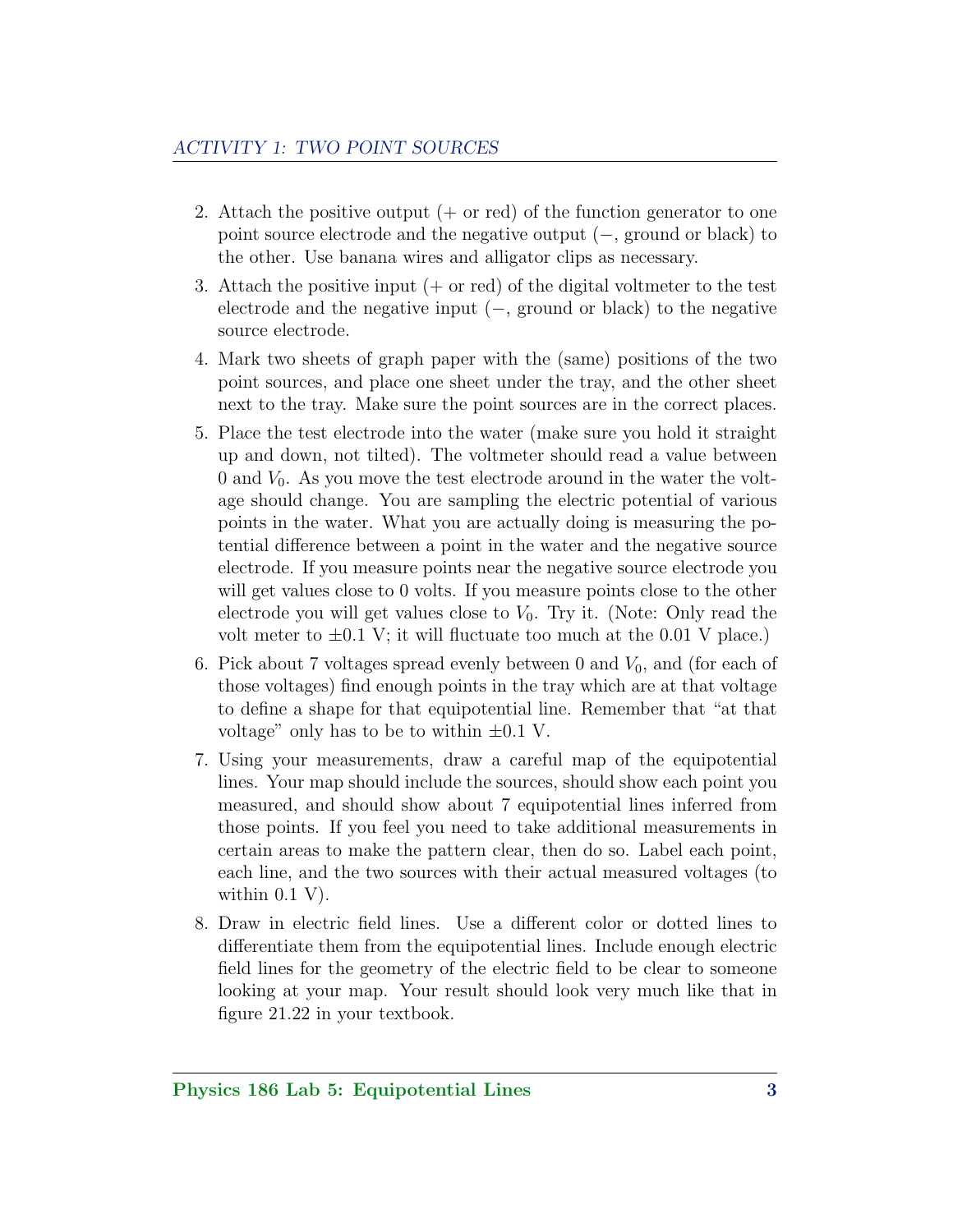- 2. Attach the positive output  $(+)$  or red) of the function generator to one point source electrode and the negative output (−, ground or black) to the other. Use banana wires and alligator clips as necessary.
- 3. Attach the positive input  $(+)$  or red) of the digital voltmeter to the test electrode and the negative input  $(-,$  ground or black) to the negative source electrode.
- 4. Mark two sheets of graph paper with the (same) positions of the two point sources, and place one sheet under the tray, and the other sheet next to the tray. Make sure the point sources are in the correct places.
- 5. Place the test electrode into the water (make sure you hold it straight up and down, not tilted). The voltmeter should read a value between 0 and  $V_0$ . As you move the test electrode around in the water the voltage should change. You are sampling the electric potential of various points in the water. What you are actually doing is measuring the potential difference between a point in the water and the negative source electrode. If you measure points near the negative source electrode you will get values close to 0 volts. If you measure points close to the other electrode you will get values close to  $V_0$ . Try it. (Note: Only read the volt meter to  $\pm 0.1$  V; it will fluctuate too much at the 0.01 V place.)
- 6. Pick about 7 voltages spread evenly between 0 and  $V_0$ , and (for each of those voltages) find enough points in the tray which are at that voltage to define a shape for that equipotential line. Remember that "at that voltage" only has to be to within  $\pm 0.1$  V.
- 7. Using your measurements, draw a careful map of the equipotential lines. Your map should include the sources, should show each point you measured, and should show about 7 equipotential lines inferred from those points. If you feel you need to take additional measurements in certain areas to make the pattern clear, then do so. Label each point, each line, and the two sources with their actual measured voltages (to within  $0.1$  V).
- 8. Draw in electric field lines. Use a different color or dotted lines to differentiate them from the equipotential lines. Include enough electric field lines for the geometry of the electric field to be clear to someone looking at your map. Your result should look very much like that in figure 21.22 in your textbook.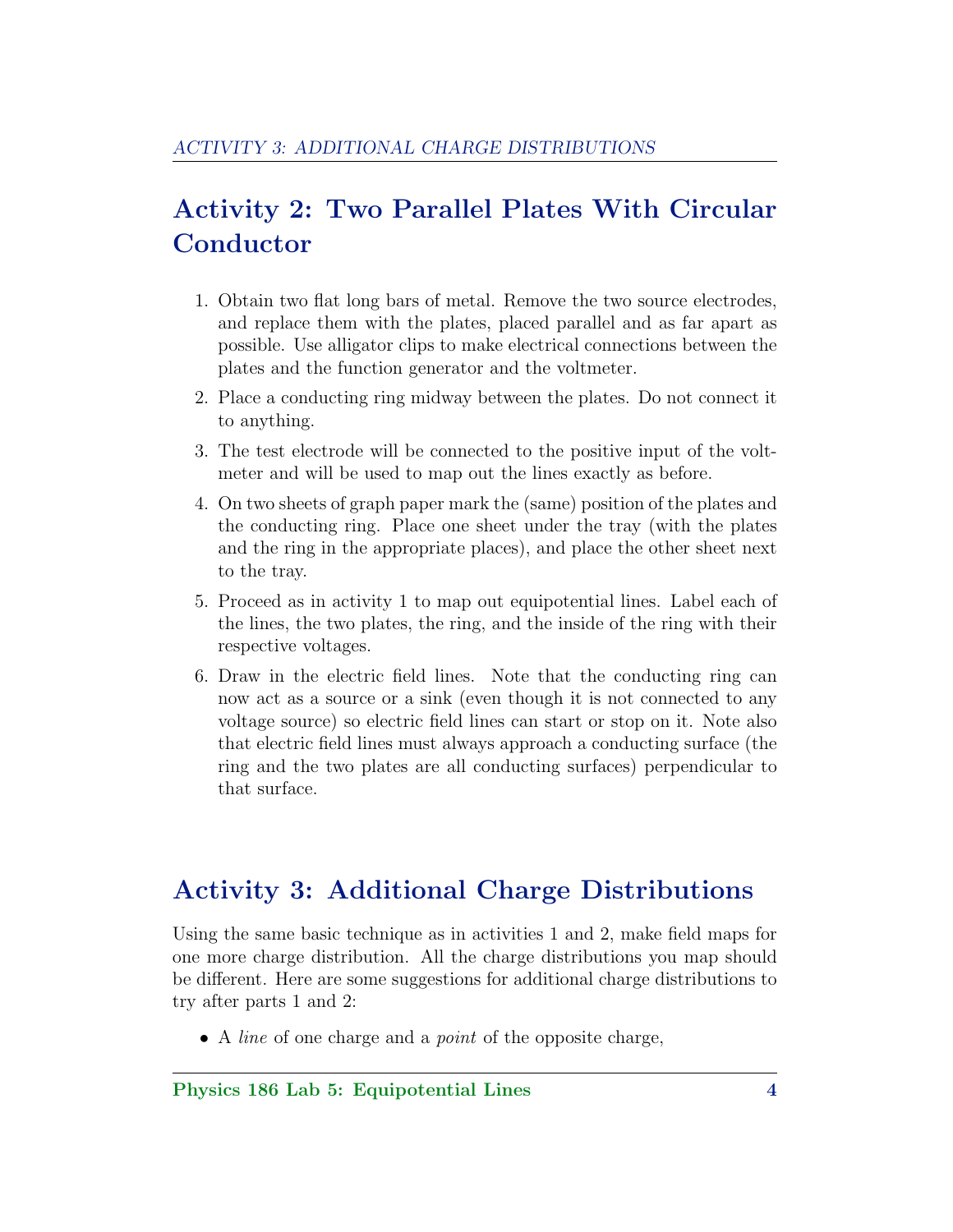# Activity 2: Two Parallel Plates With Circular Conductor

- 1. Obtain two flat long bars of metal. Remove the two source electrodes, and replace them with the plates, placed parallel and as far apart as possible. Use alligator clips to make electrical connections between the plates and the function generator and the voltmeter.
- 2. Place a conducting ring midway between the plates. Do not connect it to anything.
- 3. The test electrode will be connected to the positive input of the voltmeter and will be used to map out the lines exactly as before.
- 4. On two sheets of graph paper mark the (same) position of the plates and the conducting ring. Place one sheet under the tray (with the plates and the ring in the appropriate places), and place the other sheet next to the tray.
- 5. Proceed as in activity 1 to map out equipotential lines. Label each of the lines, the two plates, the ring, and the inside of the ring with their respective voltages.
- 6. Draw in the electric field lines. Note that the conducting ring can now act as a source or a sink (even though it is not connected to any voltage source) so electric field lines can start or stop on it. Note also that electric field lines must always approach a conducting surface (the ring and the two plates are all conducting surfaces) perpendicular to that surface.

#### Activity 3: Additional Charge Distributions

Using the same basic technique as in activities 1 and 2, make field maps for one more charge distribution. All the charge distributions you map should be different. Here are some suggestions for additional charge distributions to try after parts 1 and 2:

• A *line* of one charge and a *point* of the opposite charge,